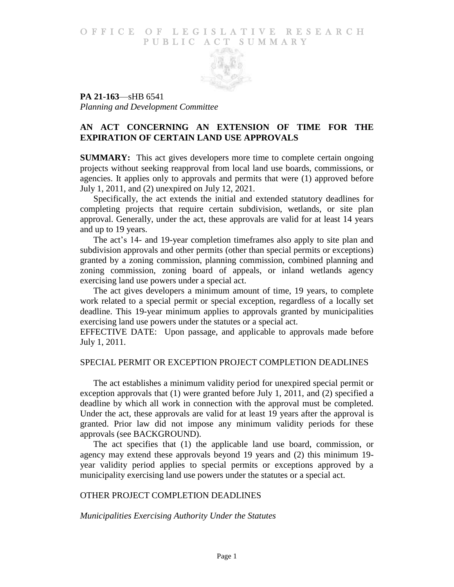#### O F FICE OF LEGISLATIVE RESEARCH PUBLIC ACT SUMMARY



**PA 21-163**—sHB 6541 *Planning and Development Committee*

# **AN ACT CONCERNING AN EXTENSION OF TIME FOR THE EXPIRATION OF CERTAIN LAND USE APPROVALS**

**SUMMARY:** This act gives developers more time to complete certain ongoing projects without seeking reapproval from local land use boards, commissions, or agencies. It applies only to approvals and permits that were (1) approved before July 1, 2011, and (2) unexpired on July 12, 2021.

Specifically, the act extends the initial and extended statutory deadlines for completing projects that require certain subdivision, wetlands, or site plan approval. Generally, under the act, these approvals are valid for at least 14 years and up to 19 years.

The act's 14- and 19-year completion timeframes also apply to site plan and subdivision approvals and other permits (other than special permits or exceptions) granted by a zoning commission, planning commission, combined planning and zoning commission, zoning board of appeals, or inland wetlands agency exercising land use powers under a special act.

The act gives developers a minimum amount of time, 19 years, to complete work related to a special permit or special exception, regardless of a locally set deadline. This 19-year minimum applies to approvals granted by municipalities exercising land use powers under the statutes or a special act.

EFFECTIVE DATE: Upon passage, and applicable to approvals made before July 1, 2011.

### SPECIAL PERMIT OR EXCEPTION PROJECT COMPLETION DEADLINES

The act establishes a minimum validity period for unexpired special permit or exception approvals that (1) were granted before July 1, 2011, and (2) specified a deadline by which all work in connection with the approval must be completed. Under the act, these approvals are valid for at least 19 years after the approval is granted. Prior law did not impose any minimum validity periods for these approvals (see BACKGROUND).

The act specifies that (1) the applicable land use board, commission, or agency may extend these approvals beyond 19 years and (2) this minimum 19 year validity period applies to special permits or exceptions approved by a municipality exercising land use powers under the statutes or a special act.

# OTHER PROJECT COMPLETION DEADLINES

### *Municipalities Exercising Authority Under the Statutes*